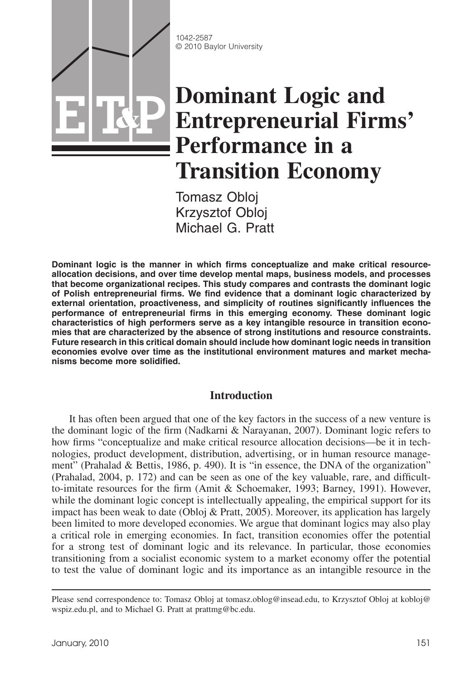1042-2587 © 2010 Baylor University

**E T&P**

# **Dominant Logic and Entrepreneurial Firms' Performance in a Transition Economy**

Tomasz Obloj Krzysztof Obloj Michael G. Pratt

**Dominant logic is the manner in which firms conceptualize and make critical resourceallocation decisions, and over time develop mental maps, business models, and processes that become organizational recipes. This study compares and contrasts the dominant logic of Polish entrepreneurial firms. We find evidence that a dominant logic characterized by external orientation, proactiveness, and simplicity of routines significantly influences the performance of entrepreneurial firms in this emerging economy. These dominant logic characteristics of high performers serve as a key intangible resource in transition economies that are characterized by the absence of strong institutions and resource constraints. Future research in this critical domain should include how dominant logic needs in transition economies evolve over time as the institutional environment matures and market mechanisms become more solidified.**

## **Introduction**

It has often been argued that one of the key factors in the success of a new venture is the dominant logic of the firm (Nadkarni & Narayanan, 2007). Dominant logic refers to how firms "conceptualize and make critical resource allocation decisions—be it in technologies, product development, distribution, advertising, or in human resource management" (Prahalad & Bettis, 1986, p. 490). It is "in essence, the DNA of the organization" (Prahalad, 2004, p. 172) and can be seen as one of the key valuable, rare, and difficultto-imitate resources for the firm (Amit & Schoemaker, 1993; Barney, 1991). However, while the dominant logic concept is intellectually appealing, the empirical support for its impact has been weak to date (Obloj  $\&$  Pratt, 2005). Moreover, its application has largely been limited to more developed economies. We argue that dominant logics may also play a critical role in emerging economies. In fact, transition economies offer the potential for a strong test of dominant logic and its relevance. In particular, those economies transitioning from a socialist economic system to a market economy offer the potential to test the value of dominant logic and its importance as an intangible resource in the

Please send correspondence to: Tomasz Obloj at tomasz.oblog@insead.edu, to Krzysztof Obloj at kobloj@ wspiz.edu.pl, and to Michael G. Pratt at prattmg@bc.edu.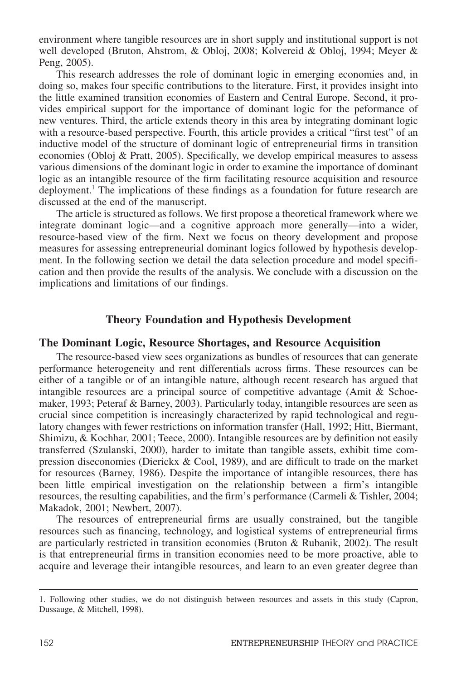environment where tangible resources are in short supply and institutional support is not well developed (Bruton, Ahstrom, & Obloj, 2008; Kolvereid & Obloj, 1994; Meyer & Peng, 2005).

This research addresses the role of dominant logic in emerging economies and, in doing so, makes four specific contributions to the literature. First, it provides insight into the little examined transition economies of Eastern and Central Europe. Second, it provides empirical support for the importance of dominant logic for the peformance of new ventures. Third, the article extends theory in this area by integrating dominant logic with a resource-based perspective. Fourth, this article provides a critical "first test" of an inductive model of the structure of dominant logic of entrepreneurial firms in transition economies (Obloj & Pratt, 2005). Specifically, we develop empirical measures to assess various dimensions of the dominant logic in order to examine the importance of dominant logic as an intangible resource of the firm facilitating resource acquisition and resource deployment.<sup>1</sup> The implications of these findings as a foundation for future research are discussed at the end of the manuscript.

The article is structured as follows. We first propose a theoretical framework where we integrate dominant logic—and a cognitive approach more generally—into a wider, resource-based view of the firm. Next we focus on theory development and propose measures for assessing entrepreneurial dominant logics followed by hypothesis development. In the following section we detail the data selection procedure and model specification and then provide the results of the analysis. We conclude with a discussion on the implications and limitations of our findings.

## **Theory Foundation and Hypothesis Development**

#### **The Dominant Logic, Resource Shortages, and Resource Acquisition**

The resource-based view sees organizations as bundles of resources that can generate performance heterogeneity and rent differentials across firms. These resources can be either of a tangible or of an intangible nature, although recent research has argued that intangible resources are a principal source of competitive advantage (Amit & Schoemaker, 1993; Peteraf & Barney, 2003). Particularly today, intangible resources are seen as crucial since competition is increasingly characterized by rapid technological and regulatory changes with fewer restrictions on information transfer (Hall, 1992; Hitt, Biermant, Shimizu, & Kochhar, 2001; Teece, 2000). Intangible resources are by definition not easily transferred (Szulanski, 2000), harder to imitate than tangible assets, exhibit time compression diseconomies (Dierickx & Cool, 1989), and are difficult to trade on the market for resources (Barney, 1986). Despite the importance of intangible resources, there has been little empirical investigation on the relationship between a firm's intangible resources, the resulting capabilities, and the firm's performance (Carmeli & Tishler, 2004; Makadok, 2001; Newbert, 2007).

The resources of entrepreneurial firms are usually constrained, but the tangible resources such as financing, technology, and logistical systems of entrepreneurial firms are particularly restricted in transition economies (Bruton & Rubanik, 2002). The result is that entrepreneurial firms in transition economies need to be more proactive, able to acquire and leverage their intangible resources, and learn to an even greater degree than

<sup>1.</sup> Following other studies, we do not distinguish between resources and assets in this study (Capron, Dussauge, & Mitchell, 1998).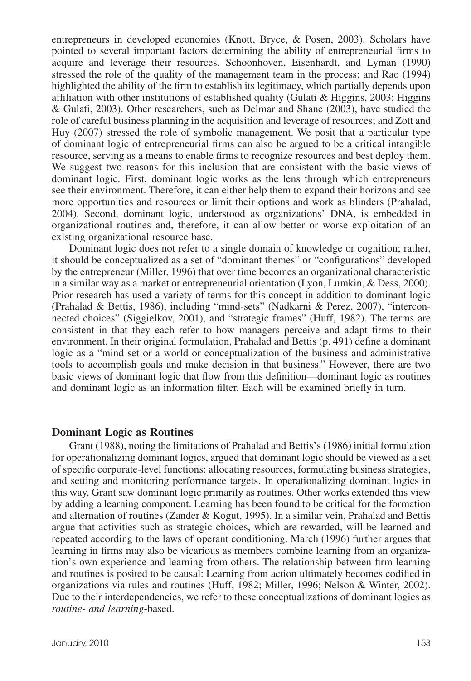entrepreneurs in developed economies (Knott, Bryce, & Posen, 2003). Scholars have pointed to several important factors determining the ability of entrepreneurial firms to acquire and leverage their resources. Schoonhoven, Eisenhardt, and Lyman (1990) stressed the role of the quality of the management team in the process; and Rao (1994) highlighted the ability of the firm to establish its legitimacy, which partially depends upon affiliation with other institutions of established quality (Gulati & Higgins, 2003; Higgins & Gulati, 2003). Other researchers, such as Delmar and Shane (2003), have studied the role of careful business planning in the acquisition and leverage of resources; and Zott and Huy (2007) stressed the role of symbolic management. We posit that a particular type of dominant logic of entrepreneurial firms can also be argued to be a critical intangible resource, serving as a means to enable firms to recognize resources and best deploy them. We suggest two reasons for this inclusion that are consistent with the basic views of dominant logic. First, dominant logic works as the lens through which entrepreneurs see their environment. Therefore, it can either help them to expand their horizons and see more opportunities and resources or limit their options and work as blinders (Prahalad, 2004). Second, dominant logic, understood as organizations' DNA, is embedded in organizational routines and, therefore, it can allow better or worse exploitation of an existing organizational resource base.

Dominant logic does not refer to a single domain of knowledge or cognition; rather, it should be conceptualized as a set of "dominant themes" or "configurations" developed by the entrepreneur (Miller, 1996) that over time becomes an organizational characteristic in a similar way as a market or entrepreneurial orientation (Lyon, Lumkin, & Dess, 2000). Prior research has used a variety of terms for this concept in addition to dominant logic (Prahalad & Bettis, 1986), including "mind-sets" (Nadkarni & Perez, 2007), "interconnected choices" (Siggielkov, 2001), and "strategic frames" (Huff, 1982). The terms are consistent in that they each refer to how managers perceive and adapt firms to their environment. In their original formulation, Prahalad and Bettis (p. 491) define a dominant logic as a "mind set or a world or conceptualization of the business and administrative tools to accomplish goals and make decision in that business." However, there are two basic views of dominant logic that flow from this definition—dominant logic as routines and dominant logic as an information filter. Each will be examined briefly in turn.

## **Dominant Logic as Routines**

Grant (1988), noting the limitations of Prahalad and Bettis's (1986) initial formulation for operationalizing dominant logics, argued that dominant logic should be viewed as a set of specific corporate-level functions: allocating resources, formulating business strategies, and setting and monitoring performance targets. In operationalizing dominant logics in this way, Grant saw dominant logic primarily as routines. Other works extended this view by adding a learning component. Learning has been found to be critical for the formation and alternation of routines (Zander & Kogut, 1995). In a similar vein, Prahalad and Bettis argue that activities such as strategic choices, which are rewarded, will be learned and repeated according to the laws of operant conditioning. March (1996) further argues that learning in firms may also be vicarious as members combine learning from an organization's own experience and learning from others. The relationship between firm learning and routines is posited to be causal: Learning from action ultimately becomes codified in organizations via rules and routines (Huff, 1982; Miller, 1996; Nelson & Winter, 2002). Due to their interdependencies, we refer to these conceptualizations of dominant logics as *routine- and learning*-based.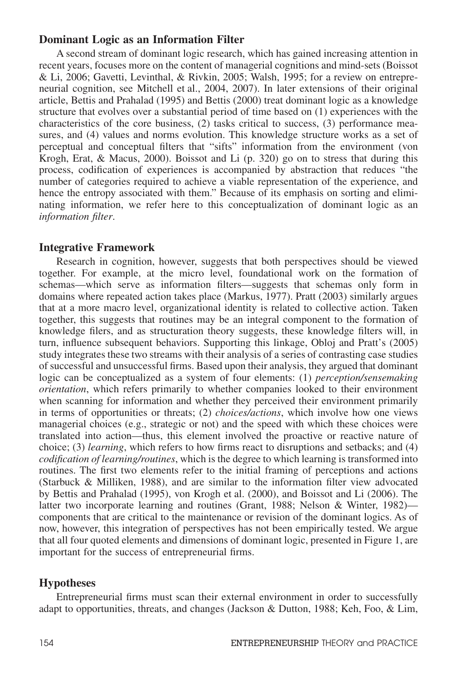## **Dominant Logic as an Information Filter**

A second stream of dominant logic research, which has gained increasing attention in recent years, focuses more on the content of managerial cognitions and mind-sets (Boissot & Li, 2006; Gavetti, Levinthal, & Rivkin, 2005; Walsh, 1995; for a review on entrepreneurial cognition, see Mitchell et al., 2004, 2007). In later extensions of their original article, Bettis and Prahalad (1995) and Bettis (2000) treat dominant logic as a knowledge structure that evolves over a substantial period of time based on (1) experiences with the characteristics of the core business, (2) tasks critical to success, (3) performance measures, and (4) values and norms evolution. This knowledge structure works as a set of perceptual and conceptual filters that "sifts" information from the environment (von Krogh, Erat, & Macus, 2000). Boissot and Li (p. 320) go on to stress that during this process, codification of experiences is accompanied by abstraction that reduces "the number of categories required to achieve a viable representation of the experience, and hence the entropy associated with them." Because of its emphasis on sorting and eliminating information, we refer here to this conceptualization of dominant logic as an *information filter*.

## **Integrative Framework**

Research in cognition, however, suggests that both perspectives should be viewed together. For example, at the micro level, foundational work on the formation of schemas—which serve as information filters—suggests that schemas only form in domains where repeated action takes place (Markus, 1977). Pratt (2003) similarly argues that at a more macro level, organizational identity is related to collective action. Taken together, this suggests that routines may be an integral component to the formation of knowledge filers, and as structuration theory suggests, these knowledge filters will, in turn, influence subsequent behaviors. Supporting this linkage, Obloj and Pratt's (2005) study integrates these two streams with their analysis of a series of contrasting case studies of successful and unsuccessful firms. Based upon their analysis, they argued that dominant logic can be conceptualized as a system of four elements: (1) *perception/sensemaking orientation*, which refers primarily to whether companies looked to their environment when scanning for information and whether they perceived their environment primarily in terms of opportunities or threats; (2) *choices/actions*, which involve how one views managerial choices (e.g., strategic or not) and the speed with which these choices were translated into action—thus, this element involved the proactive or reactive nature of choice; (3) *learning*, which refers to how firms react to disruptions and setbacks; and (4) *codification of learning/routines*, which is the degree to which learning is transformed into routines. The first two elements refer to the initial framing of perceptions and actions (Starbuck & Milliken, 1988), and are similar to the information filter view advocated by Bettis and Prahalad (1995), von Krogh et al. (2000), and Boissot and Li (2006). The latter two incorporate learning and routines (Grant, 1988; Nelson & Winter, 1982) components that are critical to the maintenance or revision of the dominant logics. As of now, however, this integration of perspectives has not been empirically tested. We argue that all four quoted elements and dimensions of dominant logic, presented in Figure 1, are important for the success of entrepreneurial firms.

## **Hypotheses**

Entrepreneurial firms must scan their external environment in order to successfully adapt to opportunities, threats, and changes (Jackson & Dutton, 1988; Keh, Foo, & Lim,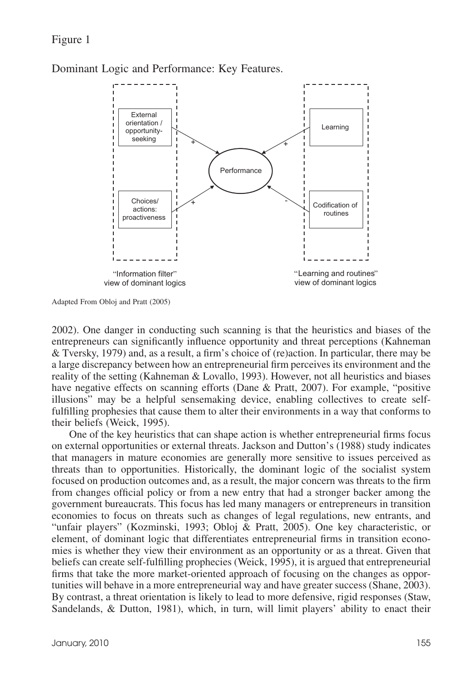# Figure 1





Adapted From Obloj and Pratt (2005)

2002). One danger in conducting such scanning is that the heuristics and biases of the entrepreneurs can significantly influence opportunity and threat perceptions (Kahneman & Tversky, 1979) and, as a result, a firm's choice of (re)action. In particular, there may be a large discrepancy between how an entrepreneurial firm perceives its environment and the reality of the setting (Kahneman & Lovallo, 1993). However, not all heuristics and biases have negative effects on scanning efforts (Dane & Pratt, 2007). For example, "positive illusions" may be a helpful sensemaking device, enabling collectives to create selffulfilling prophesies that cause them to alter their environments in a way that conforms to their beliefs (Weick, 1995).

One of the key heuristics that can shape action is whether entrepreneurial firms focus on external opportunities or external threats. Jackson and Dutton's (1988) study indicates that managers in mature economies are generally more sensitive to issues perceived as threats than to opportunities. Historically, the dominant logic of the socialist system focused on production outcomes and, as a result, the major concern was threats to the firm from changes official policy or from a new entry that had a stronger backer among the government bureaucrats. This focus has led many managers or entrepreneurs in transition economies to focus on threats such as changes of legal regulations, new entrants, and "unfair players" (Kozminski, 1993; Obloj & Pratt, 2005). One key characteristic, or element, of dominant logic that differentiates entrepreneurial firms in transition economies is whether they view their environment as an opportunity or as a threat. Given that beliefs can create self-fulfilling prophecies (Weick, 1995), it is argued that entrepreneurial firms that take the more market-oriented approach of focusing on the changes as opportunities will behave in a more entrepreneurial way and have greater success (Shane, 2003). By contrast, a threat orientation is likely to lead to more defensive, rigid responses (Staw, Sandelands, & Dutton, 1981), which, in turn, will limit players' ability to enact their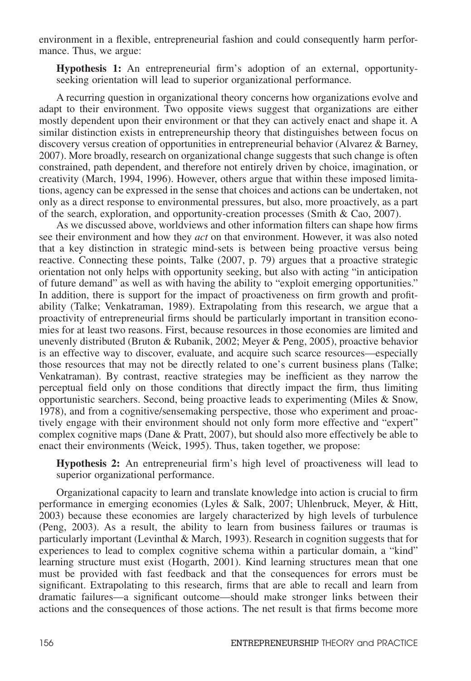environment in a flexible, entrepreneurial fashion and could consequently harm performance. Thus, we argue:

**Hypothesis 1:** An entrepreneurial firm's adoption of an external, opportunityseeking orientation will lead to superior organizational performance.

A recurring question in organizational theory concerns how organizations evolve and adapt to their environment. Two opposite views suggest that organizations are either mostly dependent upon their environment or that they can actively enact and shape it. A similar distinction exists in entrepreneurship theory that distinguishes between focus on discovery versus creation of opportunities in entrepreneurial behavior (Alvarez & Barney, 2007). More broadly, research on organizational change suggests that such change is often constrained, path dependent, and therefore not entirely driven by choice, imagination, or creativity (March, 1994, 1996). However, others argue that within these imposed limitations, agency can be expressed in the sense that choices and actions can be undertaken, not only as a direct response to environmental pressures, but also, more proactively, as a part of the search, exploration, and opportunity-creation processes (Smith & Cao, 2007).

As we discussed above, worldviews and other information filters can shape how firms see their environment and how they *act* on that environment. However, it was also noted that a key distinction in strategic mind-sets is between being proactive versus being reactive. Connecting these points, Talke (2007, p. 79) argues that a proactive strategic orientation not only helps with opportunity seeking, but also with acting "in anticipation of future demand" as well as with having the ability to "exploit emerging opportunities." In addition, there is support for the impact of proactiveness on firm growth and profitability (Talke; Venkatraman, 1989). Extrapolating from this research, we argue that a proactivity of entrepreneurial firms should be particularly important in transition economies for at least two reasons. First, because resources in those economies are limited and unevenly distributed (Bruton & Rubanik, 2002; Meyer & Peng, 2005), proactive behavior is an effective way to discover, evaluate, and acquire such scarce resources—especially those resources that may not be directly related to one's current business plans (Talke; Venkatraman). By contrast, reactive strategies may be inefficient as they narrow the perceptual field only on those conditions that directly impact the firm, thus limiting opportunistic searchers. Second, being proactive leads to experimenting (Miles & Snow, 1978), and from a cognitive/sensemaking perspective, those who experiment and proactively engage with their environment should not only form more effective and "expert" complex cognitive maps (Dane & Pratt, 2007), but should also more effectively be able to enact their environments (Weick, 1995). Thus, taken together, we propose:

**Hypothesis 2:** An entrepreneurial firm's high level of proactiveness will lead to superior organizational performance.

Organizational capacity to learn and translate knowledge into action is crucial to firm performance in emerging economies (Lyles & Salk, 2007; Uhlenbruck, Meyer, & Hitt, 2003) because these economies are largely characterized by high levels of turbulence (Peng, 2003). As a result, the ability to learn from business failures or traumas is particularly important (Levinthal & March, 1993). Research in cognition suggests that for experiences to lead to complex cognitive schema within a particular domain, a "kind" learning structure must exist (Hogarth, 2001). Kind learning structures mean that one must be provided with fast feedback and that the consequences for errors must be significant. Extrapolating to this research, firms that are able to recall and learn from dramatic failures—a significant outcome—should make stronger links between their actions and the consequences of those actions. The net result is that firms become more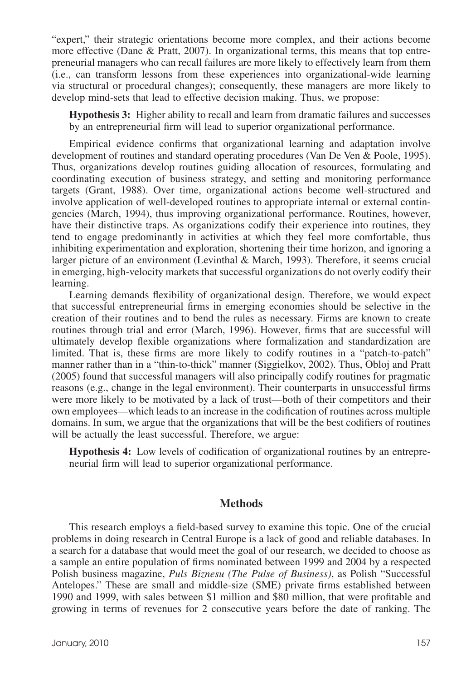"expert," their strategic orientations become more complex, and their actions become more effective (Dane & Pratt, 2007). In organizational terms, this means that top entrepreneurial managers who can recall failures are more likely to effectively learn from them (i.e., can transform lessons from these experiences into organizational-wide learning via structural or procedural changes); consequently, these managers are more likely to develop mind-sets that lead to effective decision making. Thus, we propose:

**Hypothesis 3:** Higher ability to recall and learn from dramatic failures and successes by an entrepreneurial firm will lead to superior organizational performance.

Empirical evidence confirms that organizational learning and adaptation involve development of routines and standard operating procedures (Van De Ven & Poole, 1995). Thus, organizations develop routines guiding allocation of resources, formulating and coordinating execution of business strategy, and setting and monitoring performance targets (Grant, 1988). Over time, organizational actions become well-structured and involve application of well-developed routines to appropriate internal or external contingencies (March, 1994), thus improving organizational performance. Routines, however, have their distinctive traps. As organizations codify their experience into routines, they tend to engage predominantly in activities at which they feel more comfortable, thus inhibiting experimentation and exploration, shortening their time horizon, and ignoring a larger picture of an environment (Levinthal & March, 1993). Therefore, it seems crucial in emerging, high-velocity markets that successful organizations do not overly codify their learning.

Learning demands flexibility of organizational design. Therefore, we would expect that successful entrepreneurial firms in emerging economies should be selective in the creation of their routines and to bend the rules as necessary. Firms are known to create routines through trial and error (March, 1996). However, firms that are successful will ultimately develop flexible organizations where formalization and standardization are limited. That is, these firms are more likely to codify routines in a "patch-to-patch" manner rather than in a "thin-to-thick" manner (Siggielkov, 2002). Thus, Obloj and Pratt (2005) found that successful managers will also principally codify routines for pragmatic reasons (e.g., change in the legal environment). Their counterparts in unsuccessful firms were more likely to be motivated by a lack of trust—both of their competitors and their own employees—which leads to an increase in the codification of routines across multiple domains. In sum, we argue that the organizations that will be the best codifiers of routines will be actually the least successful. Therefore, we argue:

**Hypothesis 4:** Low levels of codification of organizational routines by an entrepreneurial firm will lead to superior organizational performance.

## **Methods**

This research employs a field-based survey to examine this topic. One of the crucial problems in doing research in Central Europe is a lack of good and reliable databases. In a search for a database that would meet the goal of our research, we decided to choose as a sample an entire population of firms nominated between 1999 and 2004 by a respected Polish business magazine, *Puls Biznesu (The Pulse of Business)*, as Polish "Successful Antelopes." These are small and middle-size (SME) private firms established between 1990 and 1999, with sales between \$1 million and \$80 million, that were profitable and growing in terms of revenues for 2 consecutive years before the date of ranking. The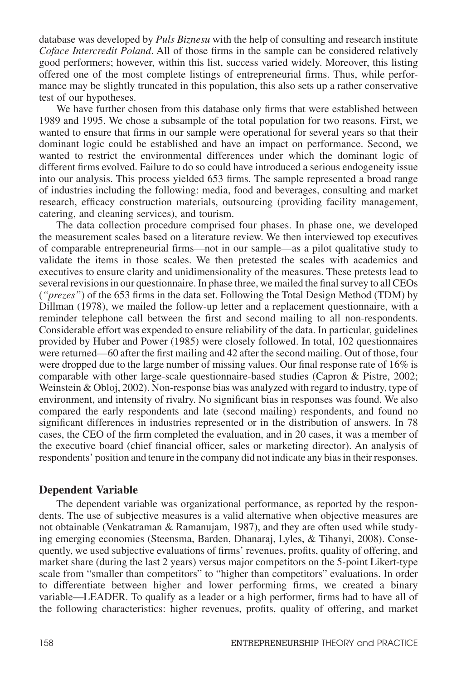database was developed by *Puls Biznesu* with the help of consulting and research institute *Coface Intercredit Poland*. All of those firms in the sample can be considered relatively good performers; however, within this list, success varied widely. Moreover, this listing offered one of the most complete listings of entrepreneurial firms. Thus, while performance may be slightly truncated in this population, this also sets up a rather conservative test of our hypotheses.

We have further chosen from this database only firms that were established between 1989 and 1995. We chose a subsample of the total population for two reasons. First, we wanted to ensure that firms in our sample were operational for several years so that their dominant logic could be established and have an impact on performance. Second, we wanted to restrict the environmental differences under which the dominant logic of different firms evolved. Failure to do so could have introduced a serious endogeneity issue into our analysis. This process yielded 653 firms. The sample represented a broad range of industries including the following: media, food and beverages, consulting and market research, efficacy construction materials, outsourcing (providing facility management, catering, and cleaning services), and tourism.

The data collection procedure comprised four phases. In phase one, we developed the measurement scales based on a literature review. We then interviewed top executives of comparable entrepreneurial firms—not in our sample—as a pilot qualitative study to validate the items in those scales. We then pretested the scales with academics and executives to ensure clarity and unidimensionality of the measures. These pretests lead to several revisions in our questionnaire. In phase three, we mailed the final survey to all CEOs (*"prezes"*) of the 653 firms in the data set. Following the Total Design Method (TDM) by Dillman (1978), we mailed the follow-up letter and a replacement questionnaire, with a reminder telephone call between the first and second mailing to all non-respondents. Considerable effort was expended to ensure reliability of the data. In particular, guidelines provided by Huber and Power (1985) were closely followed. In total, 102 questionnaires were returned—60 after the first mailing and 42 after the second mailing. Out of those, four were dropped due to the large number of missing values. Our final response rate of 16% is comparable with other large-scale questionnaire-based studies (Capron & Pistre, 2002; Weinstein & Obloj, 2002). Non-response bias was analyzed with regard to industry, type of environment, and intensity of rivalry. No significant bias in responses was found. We also compared the early respondents and late (second mailing) respondents, and found no significant differences in industries represented or in the distribution of answers. In 78 cases, the CEO of the firm completed the evaluation, and in 20 cases, it was a member of the executive board (chief financial officer, sales or marketing director). An analysis of respondents' position and tenure in the company did not indicate any bias in their responses.

#### **Dependent Variable**

The dependent variable was organizational performance, as reported by the respondents. The use of subjective measures is a valid alternative when objective measures are not obtainable (Venkatraman & Ramanujam, 1987), and they are often used while studying emerging economies (Steensma, Barden, Dhanaraj, Lyles, & Tihanyi, 2008). Consequently, we used subjective evaluations of firms' revenues, profits, quality of offering, and market share (during the last 2 years) versus major competitors on the 5-point Likert-type scale from "smaller than competitors" to "higher than competitors" evaluations. In order to differentiate between higher and lower performing firms, we created a binary variable—LEADER. To qualify as a leader or a high performer, firms had to have all of the following characteristics: higher revenues, profits, quality of offering, and market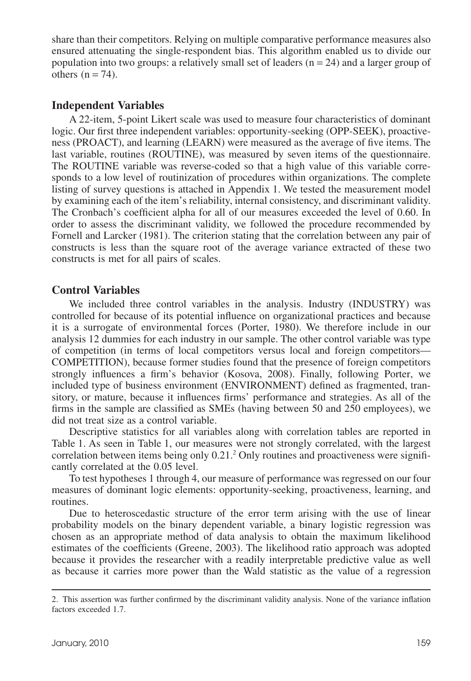share than their competitors. Relying on multiple comparative performance measures also ensured attenuating the single-respondent bias. This algorithm enabled us to divide our population into two groups: a relatively small set of leaders  $(n = 24)$  and a larger group of others  $(n = 74)$ .

## **Independent Variables**

A 22-item, 5-point Likert scale was used to measure four characteristics of dominant logic. Our first three independent variables: opportunity-seeking (OPP-SEEK), proactiveness (PROACT), and learning (LEARN) were measured as the average of five items. The last variable, routines (ROUTINE), was measured by seven items of the questionnaire. The ROUTINE variable was reverse-coded so that a high value of this variable corresponds to a low level of routinization of procedures within organizations. The complete listing of survey questions is attached in Appendix 1. We tested the measurement model by examining each of the item's reliability, internal consistency, and discriminant validity. The Cronbach's coefficient alpha for all of our measures exceeded the level of 0.60. In order to assess the discriminant validity, we followed the procedure recommended by Fornell and Larcker (1981). The criterion stating that the correlation between any pair of constructs is less than the square root of the average variance extracted of these two constructs is met for all pairs of scales.

#### **Control Variables**

We included three control variables in the analysis. Industry (INDUSTRY) was controlled for because of its potential influence on organizational practices and because it is a surrogate of environmental forces (Porter, 1980). We therefore include in our analysis 12 dummies for each industry in our sample. The other control variable was type of competition (in terms of local competitors versus local and foreign competitors— COMPETITION), because former studies found that the presence of foreign competitors strongly influences a firm's behavior (Kosova, 2008). Finally, following Porter, we included type of business environment (ENVIRONMENT) defined as fragmented, transitory, or mature, because it influences firms' performance and strategies. As all of the firms in the sample are classified as SMEs (having between 50 and 250 employees), we did not treat size as a control variable.

Descriptive statistics for all variables along with correlation tables are reported in Table 1. As seen in Table 1, our measures were not strongly correlated, with the largest correlation between items being only  $0.21<sup>2</sup>$  Only routines and proactiveness were significantly correlated at the 0.05 level.

To test hypotheses 1 through 4, our measure of performance was regressed on our four measures of dominant logic elements: opportunity-seeking, proactiveness, learning, and routines.

Due to heteroscedastic structure of the error term arising with the use of linear probability models on the binary dependent variable, a binary logistic regression was chosen as an appropriate method of data analysis to obtain the maximum likelihood estimates of the coefficients (Greene, 2003). The likelihood ratio approach was adopted because it provides the researcher with a readily interpretable predictive value as well as because it carries more power than the Wald statistic as the value of a regression

<sup>2.</sup> This assertion was further confirmed by the discriminant validity analysis. None of the variance inflation factors exceeded 1.7.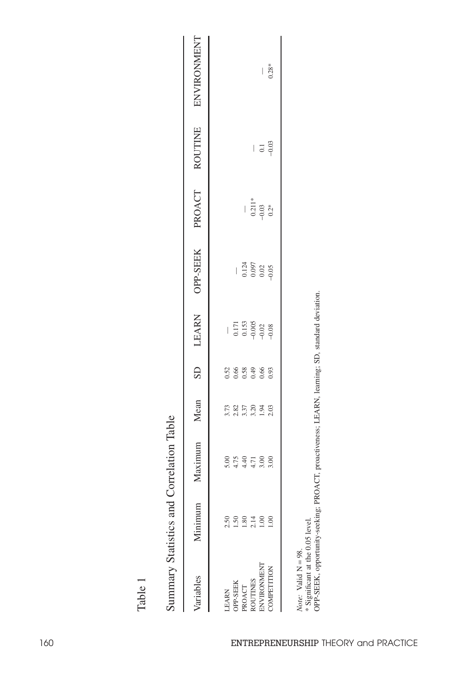| ۱.     |
|--------|
| ſ<br>٢ |
|        |

| s<br>S   |
|----------|
|          |
| くうい<br>ı |
|          |
| i        |

| ariables                                      | <i>Ainimum</i> | aximum | Mean                                                                                                                                                                                                                           | $\overline{\text{SD}}$ | <b>LEARN</b>                                                                                                             | OPP-SEEK            | PROACT                           | <b>ROUTINE</b> | ENVIRONMENT        |
|-----------------------------------------------|----------------|--------|--------------------------------------------------------------------------------------------------------------------------------------------------------------------------------------------------------------------------------|------------------------|--------------------------------------------------------------------------------------------------------------------------|---------------------|----------------------------------|----------------|--------------------|
|                                               |                |        |                                                                                                                                                                                                                                |                        |                                                                                                                          |                     |                                  |                |                    |
| LEARN                                         | 2.50           |        |                                                                                                                                                                                                                                |                        |                                                                                                                          |                     |                                  |                |                    |
| OPP-SEEK<br>PROACT<br>ROUTINES<br>ENVIRONMENT | $\ddot{5}$     |        | $7, 8, 7, 8, 7, 8, 7, 8, 7, 8, 7, 8, 6, 7, 8, 7, 8, 6, 7, 8, 7, 8, 7, 8, 7, 8, 7, 8, 7, 8, 7, 8, 7, 8, 7, 8, 7, 8, 7, 8, 7, 8, 7, 8, 7, 8, 7, 8, 7, 8, 7, 8, 7, 8, 7, 8, 7, 8, 7, 8, 7, 8, 7, 8, 7, 8, 7, 8, 7, 8, 7, 8, 7, 8$ | 0.588960               | $\frac{1}{0}$<br>$\frac{1}{0}$<br>$\frac{53}{0}$<br>$\frac{36}{0}$<br>$\frac{36}{0}$<br>$\frac{36}{0}$<br>$\frac{36}{0}$ |                     |                                  |                |                    |
|                                               | 80             |        |                                                                                                                                                                                                                                |                        |                                                                                                                          |                     |                                  |                |                    |
|                                               | 2.14           |        |                                                                                                                                                                                                                                |                        |                                                                                                                          | $\frac{134}{0.097}$ | $\frac{1}{11}$<br>0.211*<br>0.03 |                |                    |
|                                               | $\odot$        |        |                                                                                                                                                                                                                                |                        |                                                                                                                          |                     |                                  | $\frac{1}{3}$  |                    |
| <b>COMPETITION</b>                            | S              | 3.00   |                                                                                                                                                                                                                                |                        |                                                                                                                          |                     |                                  |                | $\frac{1}{0.28}$ * |
|                                               |                |        |                                                                                                                                                                                                                                |                        |                                                                                                                          |                     |                                  |                |                    |
|                                               |                |        |                                                                                                                                                                                                                                |                        |                                                                                                                          |                     |                                  |                |                    |
|                                               |                |        |                                                                                                                                                                                                                                |                        |                                                                                                                          |                     |                                  |                |                    |

*Note:* Valid N = 98. \* Significant at the 0.05 level.

*Note:* Valid N = 98.<br>\* Significant at the 0.05 level.<br>OPP-SEEK, opportunity-seeking: PROACT, proactiveness; LEARN, learning; SD, standard deviation. OPP-SEEK, opportunity-seeking; PROACT, proactiveness; LEARN, learning; SD, standard deviation.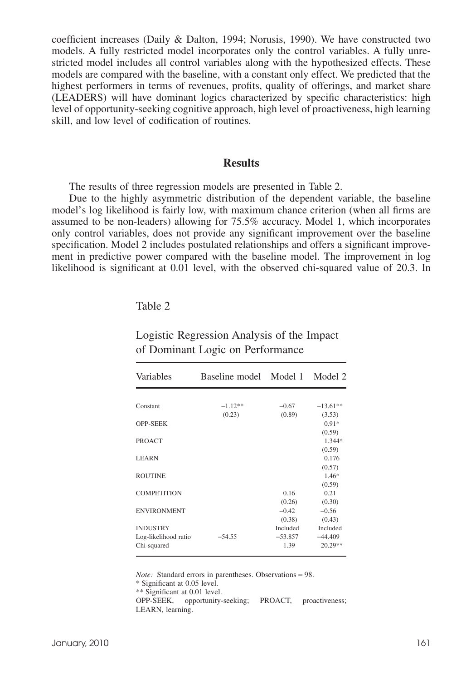coefficient increases (Daily & Dalton, 1994; Norusis, 1990). We have constructed two models. A fully restricted model incorporates only the control variables. A fully unrestricted model includes all control variables along with the hypothesized effects. These models are compared with the baseline, with a constant only effect. We predicted that the highest performers in terms of revenues, profits, quality of offerings, and market share (LEADERS) will have dominant logics characterized by specific characteristics: high level of opportunity-seeking cognitive approach, high level of proactiveness, high learning skill, and low level of codification of routines.

## **Results**

The results of three regression models are presented in Table 2.

Due to the highly asymmetric distribution of the dependent variable, the baseline model's log likelihood is fairly low, with maximum chance criterion (when all firms are assumed to be non-leaders) allowing for 75.5% accuracy. Model 1, which incorporates only control variables, does not provide any significant improvement over the baseline specification. Model 2 includes postulated relationships and offers a significant improvement in predictive power compared with the baseline model. The improvement in log likelihood is significant at 0.01 level, with the observed chi-squared value of 20.3. In

#### Table 2

| Variables            | Baseline model Model 1 |           | Model 2    |
|----------------------|------------------------|-----------|------------|
|                      |                        |           |            |
| Constant             | $-1.12**$              | $-0.67$   | $-13.61**$ |
|                      | (0.23)                 | (0.89)    | (3.53)     |
| <b>OPP-SEEK</b>      |                        |           | $0.91*$    |
|                      |                        |           | (0.59)     |
| <b>PROACT</b>        |                        |           | 1.344*     |
|                      |                        |           | (0.59)     |
| <b>LEARN</b>         |                        |           | 0.176      |
|                      |                        |           | (0.57)     |
| <b>ROUTINE</b>       |                        |           | $1.46*$    |
|                      |                        |           | (0.59)     |
| <b>COMPETITION</b>   |                        | 0.16      | 0.21       |
|                      |                        | (0.26)    | (0.30)     |
| <b>ENVIRONMENT</b>   |                        | $-0.42$   | $-0.56$    |
|                      |                        | (0.38)    | (0.43)     |
| <b>INDUSTRY</b>      |                        | Included  | Included   |
| Log-likelihood ratio | $-54.55$               | $-53.857$ | $-44.409$  |
| Chi-squared          |                        | 1.39      | $20.29**$  |

Logistic Regression Analysis of the Impact of Dominant Logic on Performance

*Note:* Standard errors in parentheses. Observations = 98.

\* Significant at 0.05 level.

\*\* Significant at 0.01 level.

OPP-SEEK, opportunity-seeking; PROACT, proactiveness; LEARN, learning.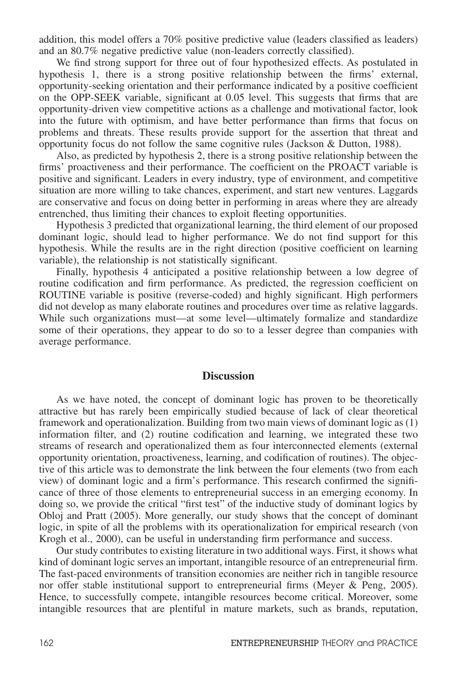addition, this model offers a 70% positive predictive value (leaders classified as leaders) and an 80.7% negative predictive value (non-leaders correctly classified).

We find strong support for three out of four hypothesized effects. As postulated in hypothesis 1, there is a strong positive relationship between the firms' external, opportunity-seeking orientation and their performance indicated by a positive coefficient on the OPP-SEEK variable, significant at 0.05 level. This suggests that firms that are opportunity-driven view competitive actions as a challenge and motivational factor, look into the future with optimism, and have better performance than firms that focus on problems and threats. These results provide support for the assertion that threat and opportunity focus do not follow the same cognitive rules (Jackson & Dutton, 1988).

Also, as predicted by hypothesis 2, there is a strong positive relationship between the firms' proactiveness and their performance. The coefficient on the PROACT variable is positive and significant. Leaders in every industry, type of environment, and competitive situation are more willing to take chances, experiment, and start new ventures. Laggards are conservative and focus on doing better in performing in areas where they are already entrenched, thus limiting their chances to exploit fleeting opportunities.

Hypothesis 3 predicted that organizational learning, the third element of our proposed dominant logic, should lead to higher performance. We do not find support for this hypothesis. While the results are in the right direction (positive coefficient on learning variable), the relationship is not statistically significant.

Finally, hypothesis 4 anticipated a positive relationship between a low degree of routine codification and firm performance. As predicted, the regression coefficient on ROUTINE variable is positive (reverse-coded) and highly significant. High performers did not develop as many elaborate routines and procedures over time as relative laggards. While such organizations must—at some level—ultimately formalize and standardize some of their operations, they appear to do so to a lesser degree than companies with average performance.

## **Discussion**

As we have noted, the concept of dominant logic has proven to be theoretically attractive but has rarely been empirically studied because of lack of clear theoretical framework and operationalization. Building from two main views of dominant logic as (1) information filter, and (2) routine codification and learning, we integrated these two streams of research and operationalized them as four interconnected elements (external opportunity orientation, proactiveness, learning, and codification of routines). The objective of this article was to demonstrate the link between the four elements (two from each view) of dominant logic and a firm's performance. This research confirmed the significance of three of those elements to entrepreneurial success in an emerging economy. In doing so, we provide the critical "first test" of the inductive study of dominant logics by Obloj and Pratt (2005). More generally, our study shows that the concept of dominant logic, in spite of all the problems with its operationalization for empirical research (von Krogh et al., 2000), can be useful in understanding firm performance and success.

Our study contributes to existing literature in two additional ways. First, it shows what kind of dominant logic serves an important, intangible resource of an entrepreneurial firm. The fast-paced environments of transition economies are neither rich in tangible resource nor offer stable institutional support to entrepreneurial firms (Meyer & Peng, 2005). Hence, to successfully compete, intangible resources become critical. Moreover, some intangible resources that are plentiful in mature markets, such as brands, reputation,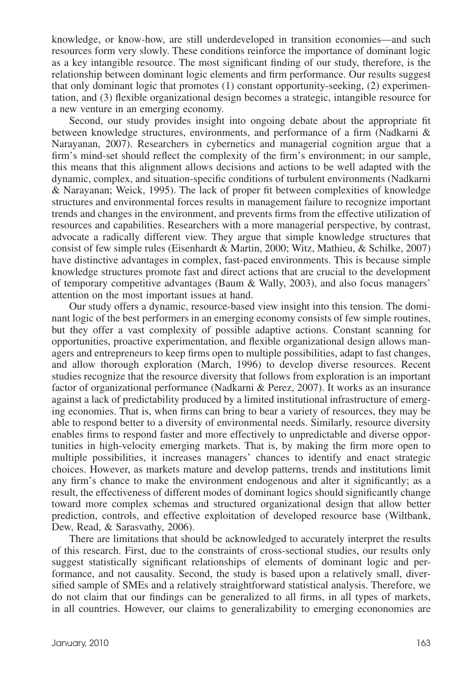knowledge, or know-how, are still underdeveloped in transition economies—and such resources form very slowly. These conditions reinforce the importance of dominant logic as a key intangible resource. The most significant finding of our study, therefore, is the relationship between dominant logic elements and firm performance. Our results suggest that only dominant logic that promotes (1) constant opportunity-seeking, (2) experimentation, and (3) flexible organizational design becomes a strategic, intangible resource for a new venture in an emerging economy.

Second, our study provides insight into ongoing debate about the appropriate fit between knowledge structures, environments, and performance of a firm (Nadkarni & Narayanan, 2007). Researchers in cybernetics and managerial cognition argue that a firm's mind-set should reflect the complexity of the firm's environment; in our sample, this means that this alignment allows decisions and actions to be well adapted with the dynamic, complex, and situation-specific conditions of turbulent environments (Nadkarni & Narayanan; Weick, 1995). The lack of proper fit between complexities of knowledge structures and environmental forces results in management failure to recognize important trends and changes in the environment, and prevents firms from the effective utilization of resources and capabilities. Researchers with a more managerial perspective, by contrast, advocate a radically different view. They argue that simple knowledge structures that consist of few simple rules (Eisenhardt & Martin, 2000; Witz, Mathieu, & Schilke, 2007) have distinctive advantages in complex, fast-paced environments. This is because simple knowledge structures promote fast and direct actions that are crucial to the development of temporary competitive advantages (Baum & Wally, 2003), and also focus managers' attention on the most important issues at hand.

Our study offers a dynamic, resource-based view insight into this tension. The dominant logic of the best performers in an emerging economy consists of few simple routines, but they offer a vast complexity of possible adaptive actions. Constant scanning for opportunities, proactive experimentation, and flexible organizational design allows managers and entrepreneurs to keep firms open to multiple possibilities, adapt to fast changes, and allow thorough exploration (March, 1996) to develop diverse resources. Recent studies recognize that the resource diversity that follows from exploration is an important factor of organizational performance (Nadkarni & Perez, 2007). It works as an insurance against a lack of predictability produced by a limited institutional infrastructure of emerging economies. That is, when firms can bring to bear a variety of resources, they may be able to respond better to a diversity of environmental needs. Similarly, resource diversity enables firms to respond faster and more effectively to unpredictable and diverse opportunities in high-velocity emerging markets. That is, by making the firm more open to multiple possibilities, it increases managers' chances to identify and enact strategic choices. However, as markets mature and develop patterns, trends and institutions limit any firm's chance to make the environment endogenous and alter it significantly; as a result, the effectiveness of different modes of dominant logics should significantly change toward more complex schemas and structured organizational design that allow better prediction, controls, and effective exploitation of developed resource base (Wiltbank, Dew, Read, & Sarasvathy, 2006).

There are limitations that should be acknowledged to accurately interpret the results of this research. First, due to the constraints of cross-sectional studies, our results only suggest statistically significant relationships of elements of dominant logic and performance, and not causality. Second, the study is based upon a relatively small, diversified sample of SMEs and a relatively straightforward statistical analysis. Therefore, we do not claim that our findings can be generalized to all firms, in all types of markets, in all countries. However, our claims to generalizability to emerging econonomies are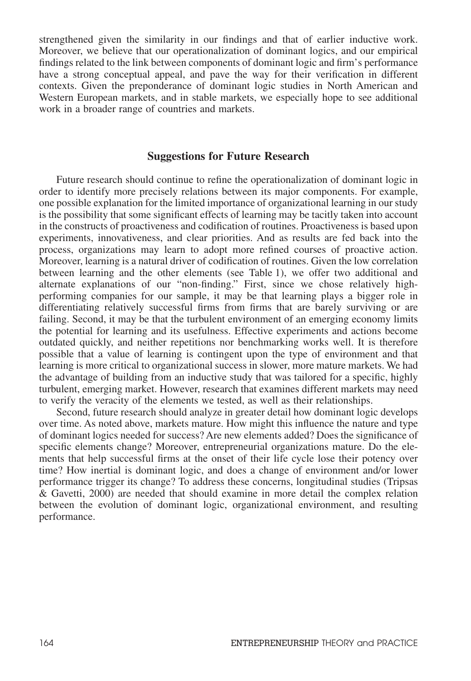strengthened given the similarity in our findings and that of earlier inductive work. Moreover, we believe that our operationalization of dominant logics, and our empirical findings related to the link between components of dominant logic and firm's performance have a strong conceptual appeal, and pave the way for their verification in different contexts. Given the preponderance of dominant logic studies in North American and Western European markets, and in stable markets, we especially hope to see additional work in a broader range of countries and markets.

#### **Suggestions for Future Research**

Future research should continue to refine the operationalization of dominant logic in order to identify more precisely relations between its major components. For example, one possible explanation for the limited importance of organizational learning in our study is the possibility that some significant effects of learning may be tacitly taken into account in the constructs of proactiveness and codification of routines. Proactiveness is based upon experiments, innovativeness, and clear priorities. And as results are fed back into the process, organizations may learn to adopt more refined courses of proactive action. Moreover, learning is a natural driver of codification of routines. Given the low correlation between learning and the other elements (see Table 1), we offer two additional and alternate explanations of our "non-finding." First, since we chose relatively highperforming companies for our sample, it may be that learning plays a bigger role in differentiating relatively successful firms from firms that are barely surviving or are failing. Second, it may be that the turbulent environment of an emerging economy limits the potential for learning and its usefulness. Effective experiments and actions become outdated quickly, and neither repetitions nor benchmarking works well. It is therefore possible that a value of learning is contingent upon the type of environment and that learning is more critical to organizational success in slower, more mature markets. We had the advantage of building from an inductive study that was tailored for a specific, highly turbulent, emerging market. However, research that examines different markets may need to verify the veracity of the elements we tested, as well as their relationships.

Second, future research should analyze in greater detail how dominant logic develops over time. As noted above, markets mature. How might this influence the nature and type of dominant logics needed for success? Are new elements added? Does the significance of specific elements change? Moreover, entrepreneurial organizations mature. Do the elements that help successful firms at the onset of their life cycle lose their potency over time? How inertial is dominant logic, and does a change of environment and/or lower performance trigger its change? To address these concerns, longitudinal studies (Tripsas & Gavetti, 2000) are needed that should examine in more detail the complex relation between the evolution of dominant logic, organizational environment, and resulting performance.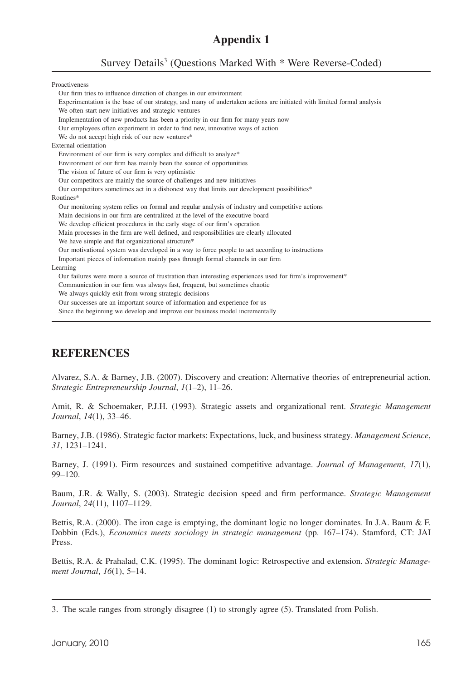# **Appendix 1**

## Survey Details<sup>3</sup> (Questions Marked With \* Were Reverse-Coded)

Proactiveness

Our firm tries to influence direction of changes in our environment Experimentation is the base of our strategy, and many of undertaken actions are initiated with limited formal analysis We often start new initiatives and strategic ventures Implementation of new products has been a priority in our firm for many years now Our employees often experiment in order to find new, innovative ways of action We do not accept high risk of our new ventures\* External orientation Environment of our firm is very complex and difficult to analyze\* Environment of our firm has mainly been the source of opportunities The vision of future of our firm is very optimistic Our competitors are mainly the source of challenges and new initiatives Our competitors sometimes act in a dishonest way that limits our development possibilities\* Routines\* Our monitoring system relies on formal and regular analysis of industry and competitive actions Main decisions in our firm are centralized at the level of the executive board We develop efficient procedures in the early stage of our firm's operation Main processes in the firm are well defined, and responsibilities are clearly allocated We have simple and flat organizational structure\* Our motivational system was developed in a way to force people to act according to instructions Important pieces of information mainly pass through formal channels in our firm Learning Our failures were more a source of frustration than interesting experiences used for firm's improvement\* Communication in our firm was always fast, frequent, but sometimes chaotic We always quickly exit from wrong strategic decisions Our successes are an important source of information and experience for us Since the beginning we develop and improve our business model incrementally

# **REFERENCES**

Alvarez, S.A. & Barney, J.B. (2007). Discovery and creation: Alternative theories of entrepreneurial action. *Strategic Entrepreneurship Journal*, *1*(1–2), 11–26.

Amit, R. & Schoemaker, P.J.H. (1993). Strategic assets and organizational rent. *Strategic Management Journal*, *14*(1), 33–46.

Barney, J.B. (1986). Strategic factor markets: Expectations, luck, and business strategy. *Management Science*, *31*, 1231–1241.

Barney, J. (1991). Firm resources and sustained competitive advantage. *Journal of Management*, *17*(1), 99–120.

Baum, J.R. & Wally, S. (2003). Strategic decision speed and firm performance. *Strategic Management Journal*, *24*(11), 1107–1129.

Bettis, R.A. (2000). The iron cage is emptying, the dominant logic no longer dominates. In J.A. Baum & F. Dobbin (Eds.), *Economics meets sociology in strategic management* (pp. 167–174). Stamford, CT: JAI Press.

Bettis, R.A. & Prahalad, C.K. (1995). The dominant logic: Retrospective and extension. *Strategic Management Journal*, *16*(1), 5–14.

<sup>3.</sup> The scale ranges from strongly disagree (1) to strongly agree (5). Translated from Polish.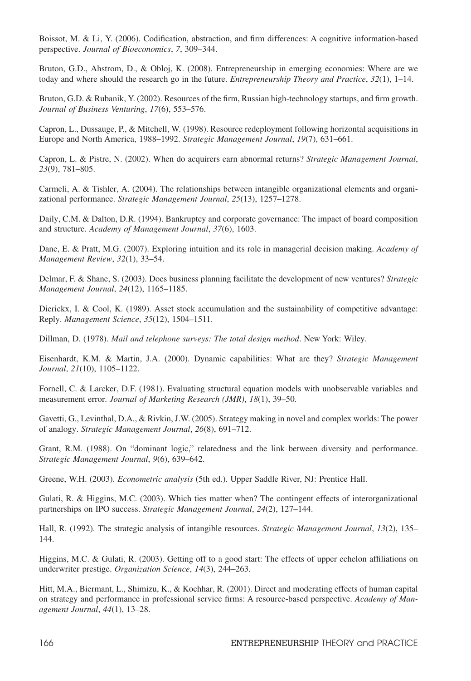Boissot, M. & Li, Y. (2006). Codification, abstraction, and firm differences: A cognitive information-based perspective. *Journal of Bioeconomics*, *7*, 309–344.

Bruton, G.D., Ahstrom, D., & Obloj, K. (2008). Entrepreneurship in emerging economies: Where are we today and where should the research go in the future. *Entrepreneurship Theory and Practice*, *32*(1), 1–14.

Bruton, G.D. & Rubanik, Y. (2002). Resources of the firm, Russian high-technology startups, and firm growth. *Journal of Business Venturing*, *17*(6), 553–576.

Capron, L., Dussauge, P., & Mitchell, W. (1998). Resource redeployment following horizontal acquisitions in Europe and North America, 1988–1992. *Strategic Management Journal*, *19*(7), 631–661.

Capron, L. & Pistre, N. (2002). When do acquirers earn abnormal returns? *Strategic Management Journal*, *23*(9), 781–805.

Carmeli, A. & Tishler, A. (2004). The relationships between intangible organizational elements and organizational performance. *Strategic Management Journal*, *25*(13), 1257–1278.

Daily, C.M. & Dalton, D.R. (1994). Bankruptcy and corporate governance: The impact of board composition and structure. *Academy of Management Journal*, *37*(6), 1603.

Dane, E. & Pratt, M.G. (2007). Exploring intuition and its role in managerial decision making. *Academy of Management Review*, *32*(1), 33–54.

Delmar, F. & Shane, S. (2003). Does business planning facilitate the development of new ventures? *Strategic Management Journal*, *24*(12), 1165–1185.

Dierickx, I. & Cool, K. (1989). Asset stock accumulation and the sustainability of competitive advantage: Reply. *Management Science*, *35*(12), 1504–1511.

Dillman, D. (1978). *Mail and telephone surveys: The total design method*. New York: Wiley.

Eisenhardt, K.M. & Martin, J.A. (2000). Dynamic capabilities: What are they? *Strategic Management Journal*, *21*(10), 1105–1122.

Fornell, C. & Larcker, D.F. (1981). Evaluating structural equation models with unobservable variables and measurement error. *Journal of Marketing Research (JMR)*, *18*(1), 39–50.

Gavetti, G., Levinthal, D.A., & Rivkin, J.W. (2005). Strategy making in novel and complex worlds: The power of analogy. *Strategic Management Journal*, *26*(8), 691–712.

Grant, R.M. (1988). On "dominant logic," relatedness and the link between diversity and performance. *Strategic Management Journal*, *9*(6), 639–642.

Greene, W.H. (2003). *Econometric analysis* (5th ed.). Upper Saddle River, NJ: Prentice Hall.

Gulati, R. & Higgins, M.C. (2003). Which ties matter when? The contingent effects of interorganizational partnerships on IPO success. *Strategic Management Journal*, *24*(2), 127–144.

Hall, R. (1992). The strategic analysis of intangible resources. *Strategic Management Journal*, *13*(2), 135– 144.

Higgins, M.C. & Gulati, R. (2003). Getting off to a good start: The effects of upper echelon affiliations on underwriter prestige. *Organization Science*, *14*(3), 244–263.

Hitt, M.A., Biermant, L., Shimizu, K., & Kochhar, R. (2001). Direct and moderating effects of human capital on strategy and performance in professional service firms: A resource-based perspective. *Academy of Management Journal*, *44*(1), 13–28.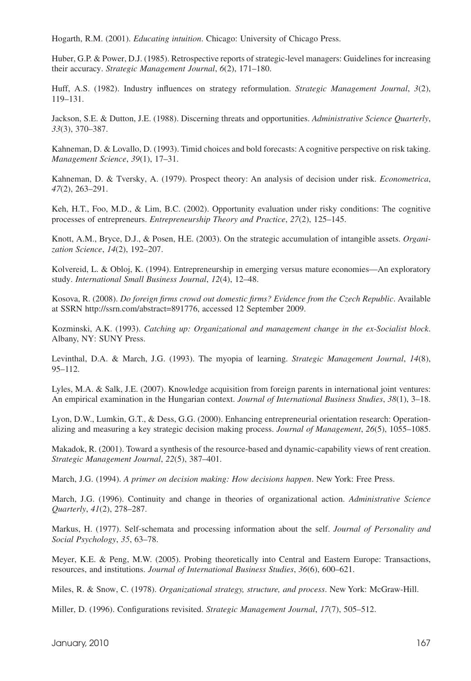Hogarth, R.M. (2001). *Educating intuition*. Chicago: University of Chicago Press.

Huber, G.P. & Power, D.J. (1985). Retrospective reports of strategic-level managers: Guidelines for increasing their accuracy. *Strategic Management Journal*, *6*(2), 171–180.

Huff, A.S. (1982). Industry influences on strategy reformulation. *Strategic Management Journal*, *3*(2), 119–131.

Jackson, S.E. & Dutton, J.E. (1988). Discerning threats and opportunities. *Administrative Science Quarterly*, *33*(3), 370–387.

Kahneman, D. & Lovallo, D. (1993). Timid choices and bold forecasts: A cognitive perspective on risk taking. *Management Science*, *39*(1), 17–31.

Kahneman, D. & Tversky, A. (1979). Prospect theory: An analysis of decision under risk. *Econometrica*, *47*(2), 263–291.

Keh, H.T., Foo, M.D., & Lim, B.C. (2002). Opportunity evaluation under risky conditions: The cognitive processes of entrepreneurs. *Entrepreneurship Theory and Practice*, *27*(2), 125–145.

Knott, A.M., Bryce, D.J., & Posen, H.E. (2003). On the strategic accumulation of intangible assets. *Organization Science*, *14*(2), 192–207.

Kolvereid, L. & Obloj, K. (1994). Entrepreneurship in emerging versus mature economies—An exploratory study. *International Small Business Journal*, *12*(4), 12–48.

Kosova, R. (2008). *Do foreign firms crowd out domestic firms? Evidence from the Czech Republic*. Available at SSRN http://ssrn.com/abstract=891776, accessed 12 September 2009.

Kozminski, A.K. (1993). *Catching up: Organizational and management change in the ex-Socialist block*. Albany, NY: SUNY Press.

Levinthal, D.A. & March, J.G. (1993). The myopia of learning. *Strategic Management Journal*, *14*(8), 95–112.

Lyles, M.A. & Salk, J.E. (2007). Knowledge acquisition from foreign parents in international joint ventures: An empirical examination in the Hungarian context. *Journal of International Business Studies*, *38*(1), 3–18.

Lyon, D.W., Lumkin, G.T., & Dess, G.G. (2000). Enhancing entrepreneurial orientation research: Operationalizing and measuring a key strategic decision making process. *Journal of Management*, *26*(5), 1055–1085.

Makadok, R. (2001). Toward a synthesis of the resource-based and dynamic-capability views of rent creation. *Strategic Management Journal*, *22*(5), 387–401.

March, J.G. (1994). *A primer on decision making: How decisions happen*. New York: Free Press.

March, J.G. (1996). Continuity and change in theories of organizational action. *Administrative Science Quarterly*, *41*(2), 278–287.

Markus, H. (1977). Self-schemata and processing information about the self. *Journal of Personality and Social Psychology*, *35*, 63–78.

Meyer, K.E. & Peng, M.W. (2005). Probing theoretically into Central and Eastern Europe: Transactions, resources, and institutions. *Journal of International Business Studies*, *36*(6), 600–621.

Miles, R. & Snow, C. (1978). *Organizational strategy, structure, and process*. New York: McGraw-Hill.

Miller, D. (1996). Configurations revisited. *Strategic Management Journal*, *17*(7), 505–512.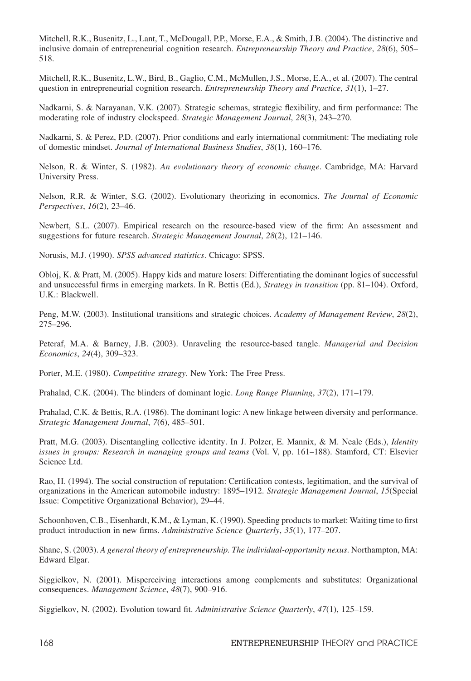Mitchell, R.K., Busenitz, L., Lant, T., McDougall, P.P., Morse, E.A., & Smith, J.B. (2004). The distinctive and inclusive domain of entrepreneurial cognition research. *Entrepreneurship Theory and Practice*, *28*(6), 505– 518.

Mitchell, R.K., Busenitz, L.W., Bird, B., Gaglio, C.M., McMullen, J.S., Morse, E.A., et al. (2007). The central question in entrepreneurial cognition research. *Entrepreneurship Theory and Practice*, *31*(1), 1–27.

Nadkarni, S. & Narayanan, V.K. (2007). Strategic schemas, strategic flexibility, and firm performance: The moderating role of industry clockspeed. *Strategic Management Journal*, *28*(3), 243–270.

Nadkarni, S. & Perez, P.D. (2007). Prior conditions and early international commitment: The mediating role of domestic mindset. *Journal of International Business Studies*, *38*(1), 160–176.

Nelson, R. & Winter, S. (1982). *An evolutionary theory of economic change*. Cambridge, MA: Harvard University Press.

Nelson, R.R. & Winter, S.G. (2002). Evolutionary theorizing in economics. *The Journal of Economic Perspectives*, *16*(2), 23–46.

Newbert, S.L. (2007). Empirical research on the resource-based view of the firm: An assessment and suggestions for future research. *Strategic Management Journal*, *28*(2), 121–146.

Norusis, M.J. (1990). *SPSS advanced statistics*. Chicago: SPSS.

Obloj, K. & Pratt, M. (2005). Happy kids and mature losers: Differentiating the dominant logics of successful and unsuccessful firms in emerging markets. In R. Bettis (Ed.), *Strategy in transition* (pp. 81–104). Oxford, U.K.: Blackwell.

Peng, M.W. (2003). Institutional transitions and strategic choices. *Academy of Management Review*, *28*(2), 275–296.

Peteraf, M.A. & Barney, J.B. (2003). Unraveling the resource-based tangle. *Managerial and Decision Economics*, *24*(4), 309–323.

Porter, M.E. (1980). *Competitive strategy*. New York: The Free Press.

Prahalad, C.K. (2004). The blinders of dominant logic. *Long Range Planning*, *37*(2), 171–179.

Prahalad, C.K. & Bettis, R.A. (1986). The dominant logic: A new linkage between diversity and performance. *Strategic Management Journal*, *7*(6), 485–501.

Pratt, M.G. (2003). Disentangling collective identity. In J. Polzer, E. Mannix, & M. Neale (Eds.), *Identity issues in groups: Research in managing groups and teams* (Vol. V, pp. 161–188). Stamford, CT: Elsevier Science Ltd.

Rao, H. (1994). The social construction of reputation: Certification contests, legitimation, and the survival of organizations in the American automobile industry: 1895–1912. *Strategic Management Journal*, *15*(Special Issue: Competitive Organizational Behavior), 29–44.

Schoonhoven, C.B., Eisenhardt, K.M., & Lyman, K. (1990). Speeding products to market: Waiting time to first product introduction in new firms. *Administrative Science Quarterly*, *35*(1), 177–207.

Shane, S. (2003). *A general theory of entrepreneurship. The individual-opportunity nexus*. Northampton, MA: Edward Elgar.

Siggielkov, N. (2001). Misperceiving interactions among complements and substitutes: Organizational consequences. *Management Science*, *48*(7), 900–916.

Siggielkov, N. (2002). Evolution toward fit. *Administrative Science Quarterly*, *47*(1), 125–159.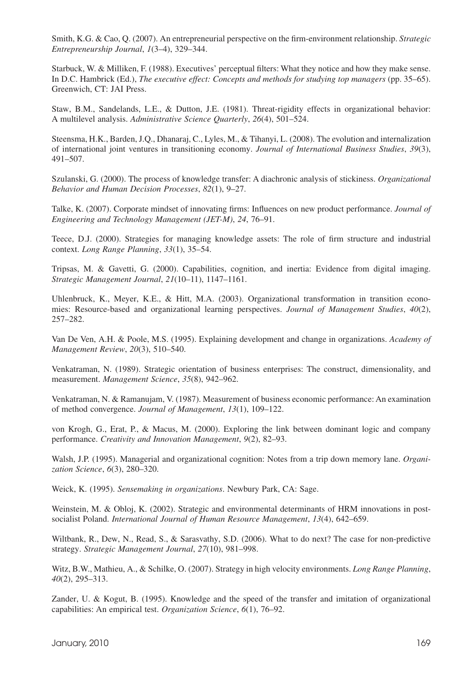Smith, K.G. & Cao, Q. (2007). An entrepreneurial perspective on the firm-environment relationship. *Strategic Entrepreneurship Journal*, *1*(3–4), 329–344.

Starbuck, W. & Milliken, F. (1988). Executives' perceptual filters: What they notice and how they make sense. In D.C. Hambrick (Ed.), *The executive effect: Concepts and methods for studying top managers* (pp. 35–65). Greenwich, CT: JAI Press.

Staw, B.M., Sandelands, L.E., & Dutton, J.E. (1981). Threat-rigidity effects in organizational behavior: A multilevel analysis. *Administrative Science Quarterly*, *26*(4), 501–524.

Steensma, H.K., Barden, J.Q., Dhanaraj, C., Lyles, M., & Tihanyi, L. (2008). The evolution and internalization of international joint ventures in transitioning economy. *Journal of International Business Studies*, *39*(3), 491–507.

Szulanski, G. (2000). The process of knowledge transfer: A diachronic analysis of stickiness. *Organizational Behavior and Human Decision Processes*, *82*(1), 9–27.

Talke, K. (2007). Corporate mindset of innovating firms: Influences on new product performance. *Journal of Engineering and Technology Management (JET-M)*, *24*, 76–91.

Teece, D.J. (2000). Strategies for managing knowledge assets: The role of firm structure and industrial context. *Long Range Planning*, *33*(1), 35–54.

Tripsas, M. & Gavetti, G. (2000). Capabilities, cognition, and inertia: Evidence from digital imaging. *Strategic Management Journal*, *21*(10–11), 1147–1161.

Uhlenbruck, K., Meyer, K.E., & Hitt, M.A. (2003). Organizational transformation in transition economies: Resource-based and organizational learning perspectives. *Journal of Management Studies*, *40*(2), 257–282.

Van De Ven, A.H. & Poole, M.S. (1995). Explaining development and change in organizations. *Academy of Management Review*, *20*(3), 510–540.

Venkatraman, N. (1989). Strategic orientation of business enterprises: The construct, dimensionality, and measurement. *Management Science*, *35*(8), 942–962.

Venkatraman, N. & Ramanujam, V. (1987). Measurement of business economic performance: An examination of method convergence. *Journal of Management*, *13*(1), 109–122.

von Krogh, G., Erat, P., & Macus, M. (2000). Exploring the link between dominant logic and company performance. *Creativity and Innovation Management*, *9*(2), 82–93.

Walsh, J.P. (1995). Managerial and organizational cognition: Notes from a trip down memory lane. *Organization Science*, *6*(3), 280–320.

Weick, K. (1995). *Sensemaking in organizations*. Newbury Park, CA: Sage.

Weinstein, M. & Obloj, K. (2002). Strategic and environmental determinants of HRM innovations in postsocialist Poland. *International Journal of Human Resource Management*, *13*(4), 642–659.

Wiltbank, R., Dew, N., Read, S., & Sarasvathy, S.D. (2006). What to do next? The case for non-predictive strategy. *Strategic Management Journal*, *27*(10), 981–998.

Witz, B.W., Mathieu, A., & Schilke, O. (2007). Strategy in high velocity environments. *Long Range Planning*, *40*(2), 295–313.

Zander, U. & Kogut, B. (1995). Knowledge and the speed of the transfer and imitation of organizational capabilities: An empirical test. *Organization Science*, *6*(1), 76–92.